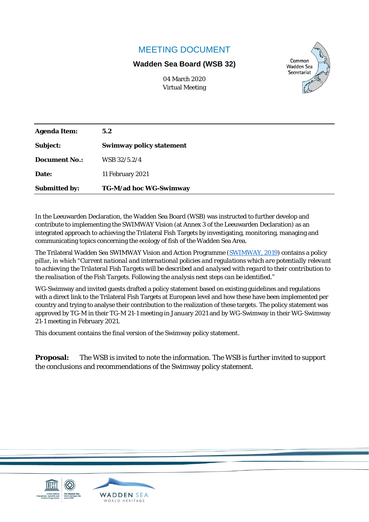#### MEETING DOCUMENT

#### **Wadden Sea Board (WSB 32)**



04 March 2020 Virtual Meeting

| Agenda I tem: | 5.2                      |
|---------------|--------------------------|
| Subject:      | Swimway policy statement |
| Document No.: | WSB 32/5.2/4             |
| Date:         | 11 February 2021         |
| Submitted by: | TG-M/ad hoc WG-Swimway   |

In the Leeuwarden Declaration, the Wadden Sea Board (WSB) was instructed to further develop and contribute to implementing the SWIMWAY Vision (at Annex 3 of the Leeuwarden Declaration) as an integrated approach to achieving the Trilateral Fish Targets by investigating, monitoring, managing and communicating topics concerning the ecology of fish of the Wadden Sea Area.

The Trilateral Wadden Sea SWIMWAY Vision and Action Programme [\(SWIMWAY,](https://www.waddensea-secretariat.org/resources/trilateral-wadden-sea-swimway-vision-action-programme) 2019) contains a policy pillar, in which "*Current national and international policies and regulations which are potentially relevant to achieving the Trilateral Fish Targets will be described and analysed with regard to their contribution to the realisation of the Fish Targets. Following the analysis next steps can be identified*."

WG-Swimway and invited guests drafted a policy statement based on existing guidelines and regulations with a direct link to the Trilateral Fish Targets at European level and how these have been implemented per country and trying to analyse their contribution to the realization of these targets. The policy statement was approved by TG-M in their TG-M 21-1 meeting in January 2021 and by WG-Swimway in their WG-Swimway 21-1 meeting in February 2021.

This document contains the final version of the Swimway policy statement.

**Proposal:** The WSB is invited to note the information. The WSB is further invited to support the conclusions and recommendations of the Swimway policy statement.

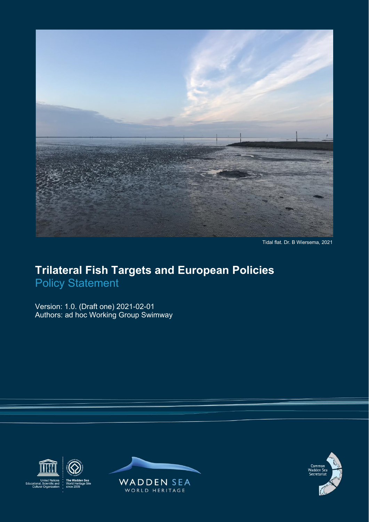

Tidal flat. Dr. B Wiersema, 2021

### **Trilateral Fish Targets and European Policies** Policy Statement

Version: 1.0. (Draft one) 2021-02-01 Authors: ad hoc Working Group Swimway





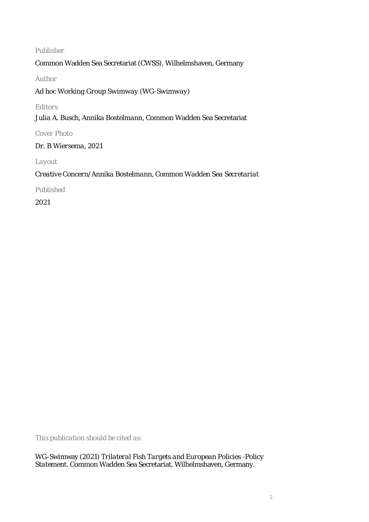#### *Publisher*

Common Wadden Sea Secretariat (CWSS), Wilhelmshaven, Germany

*Author*

*Ad hoc Working Group Swimway (WG-Swimway)*

*Editors*

*Julia A. Busch, Annika Bostelmann*, Common Wadden Sea Secretariat

*Cover Photo* 

*Dr. B Wiersema, 2021* 

*Layout*

*Creative Concern/Annika Bostelmann, Common Wadden Sea Secretariat*

*Published*

2021

*This publication should be cited as:*

WG-Swimway (2021) *Trilateral Fish Targets and European Policies -Policy Statement*. Common Wadden Sea Secretariat, Wilhelmshaven, Germany.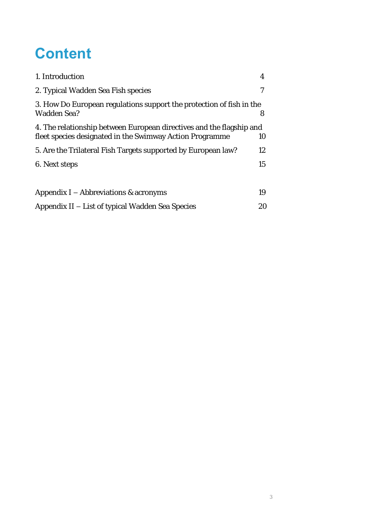## **Content**

| 1. Introduction                                                                                                                  | 4               |
|----------------------------------------------------------------------------------------------------------------------------------|-----------------|
| 2. Typical Wadden Sea Fish species                                                                                               |                 |
| 3. How Do European regulations support the protection of fish in the<br>Wadden Sea?                                              | 8               |
| 4. The relationship between European directives and the flagship and<br>fleet species designated in the Swimway Action Programme | 10 <sup>°</sup> |
| 5. Are the Trilateral Fish Targets supported by European law?                                                                    | 12 <sup>°</sup> |
| 6. Next steps                                                                                                                    | 15              |
|                                                                                                                                  |                 |
| Appendix $I -$ Abbreviations & acronyms                                                                                          | 19              |
| Appendix II – List of typical Wadden Sea Species                                                                                 | 20              |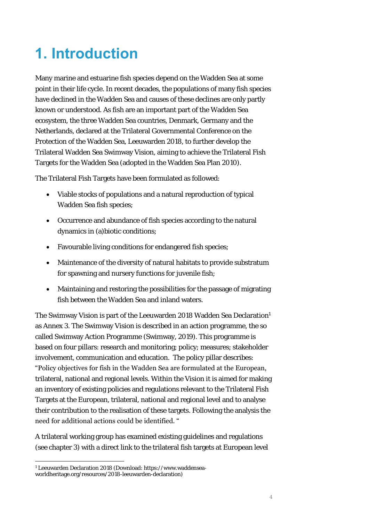# **1. Introduction**

Many marine and estuarine fish species depend on the Wadden Sea at some point in their life cycle. In recent decades, the populations of many fish species have declined in the Wadden Sea and causes of these declines are only partly known or understood. As fish are an important part of the Wadden Sea ecosystem, the three Wadden Sea countries, Denmark, Germany and the Netherlands, declared at the Trilateral Governmental Conference on the Protection of the Wadden Sea, Leeuwarden 2018, to further develop the Trilateral Wadden Sea Swimway Vision, aiming to achieve the Trilateral Fish Targets for the Wadden Sea (adopted in the Wadden Sea Plan 2010).

The Trilateral Fish Targets have been formulated as followed:

- Viable stocks of populations and a natural reproduction of typical Wadden Sea fish species;
- Occurrence and abundance of fish species according to the natural dynamics in (a)biotic conditions;
- Favourable living conditions for endangered fish species;
- Maintenance of the diversity of natural habitats to provide substratum for spawning and nursery functions for juvenile fish;
- Maintaining and restoring the possibilities for the passage of migrating fish between the Wadden Sea and inland waters.

The Swimway Vision is part of the Leeuwarden 2018 Wadden Sea Declaration<sup>1</sup> as Annex 3. The Swimway Vision is described in an action programme, the so called Swimway Action Programme (Swimway, 2019). This programme is based on four pillars: research and monitoring; policy; measures; stakeholder involvement, communication and education. The policy pillar describes: "Policy objectives for fish in the Wadden Sea are formulated at the European, trilateral, national and regional levels. Within the Vision it is aimed for making an inventory of existing policies and regulations relevant to the Trilateral Fish Targets at the European, trilateral, national and regional level and to analyse their contribution to the realisation of these targets. Following the analysis the need for additional actions could be identified. "

A trilateral working group has examined existing guidelines and regulations (see chapter 3) with a direct link to the trilateral fish targets at European level

<sup>1</sup> Leeuwarden Declaration 2018 (Download: https://www.waddenseaworldheritage.org/resources/2018-leeuwarden-declaration)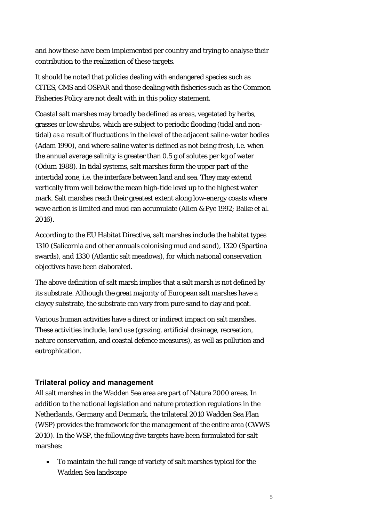and how these have been implemented per country and trying to analyse their contribution to the realization of these targets.

It should be noted that policies dealing with endangered species such as CITES, CMS and OSPAR and those dealing with fisheries such as the Common Fisheries Policy are not dealt with in this policy statement.

Coastal salt marshes may broadly be defined as areas, vegetated by herbs, grasses or low shrubs, which are subject to periodic flooding (tidal and nontidal) as a result of fluctuations in the level of the adjacent saline-water bodies (Adam 1990), and where saline water is defined as not being fresh, i.e. when the annual average salinity is greater than 0.5 g of solutes per kg of water (Odum 1988). In tidal systems, salt marshes form the upper part of the intertidal zone, i.e. the interface between land and sea. They may extend vertically from well below the mean high-tide level up to the highest water mark. Salt marshes reach their greatest extent along low-energy coasts where wave action is limited and mud can accumulate (Allen & Pye 1992; Balke et al. 2016).

According to the EU Habitat Directive, salt marshes include the habitat types 1310 (Salicornia and other annuals colonising mud and sand), 1320 (Spartina swards), and 1330 (Atlantic salt meadows), for which national conservation objectives have been elaborated.

The above definition of salt marsh implies that a salt marsh is not defined by its substrate. Although the great majority of European salt marshes have a clayey substrate, the substrate can vary from pure sand to clay and peat.

Various human activities have a direct or indirect impact on salt marshes. These activities include, land use (grazing, artificial drainage, recreation, nature conservation, and coastal defence measures), as well as pollution and eutrophication.

#### **Trilateral policy and management**

All salt marshes in the Wadden Sea area are part of Natura 2000 areas. In addition to the national legislation and nature protection regulations in the Netherlands, Germany and Denmark, the trilateral 2010 Wadden Sea Plan (WSP) provides the framework for the management of the entire area (CWWS 2010). In the WSP, the following five targets have been formulated for salt marshes:

• To maintain the full range of variety of salt marshes typical for the Wadden Sea landscape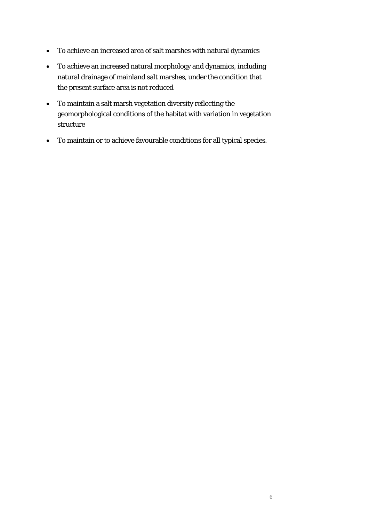- To achieve an increased area of salt marshes with natural dynamics
- To achieve an increased natural morphology and dynamics, including natural drainage of mainland salt marshes, under the condition that the present surface area is not reduced
- To maintain a salt marsh vegetation diversity reflecting the geomorphological conditions of the habitat with variation in vegetation structure
- To maintain or to achieve favourable conditions for all typical species.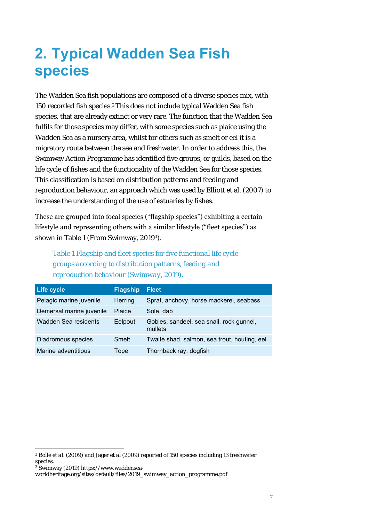## **2. Typical Wadden Sea Fish species**

The Wadden Sea fish populations are composed of a diverse species mix, with 150 recorded fish species.2This does not include typical Wadden Sea fish species, that are already extinct or very rare. The function that the Wadden Sea fulfils for those species may differ, with some species such as plaice using the Wadden Sea as a nursery area, whilst for others such as smelt or eel it is a migratory route between the sea and freshwater. In order to address this, the Swimway Action Programme has identified five groups, or guilds, based on the life cycle of fishes and the functionality of the Wadden Sea for those species. This classification is based on distribution patterns and feeding and reproduction behaviour, an approach which was used by Elliott et al. (2007) to increase the understanding of the use of estuaries by fishes.

These are grouped into focal species ("flagship species") exhibiting a certain lifestyle and representing others with a similar lifestyle ("fleet species") as shown in Table 1 (From Swimway, 20193).

*Table 1 Flagship and fleet species for five functional life cycle groups according to distribution patterns, feeding and reproduction behaviour (Swimway, 2019).*

| <b>Life cycle</b>        | <b>Flagship</b> | <b>Fleet</b>                                        |
|--------------------------|-----------------|-----------------------------------------------------|
| Pelagic marine juvenile  | Herring         | Sprat, anchovy, horse mackerel, seabass             |
| Demersal marine juvenile | Plaice          | Sole, dab                                           |
| Wadden Sea residents     | Eelpout         | Gobies, sandeel, sea snail, rock gunnel,<br>mullets |
| Diadromous species       | Smelt           | Twaite shad, salmon, sea trout, houting, eel        |
| Marine adventitious      | Tope            | Thornback ray, dogfish                              |

<sup>2</sup> Bolle *et al.* (2009) and Jager *et al* (2009) reported of 150 species including 13 freshwater species.

<sup>3</sup> Swimway (2019) https://www.waddensea-

worldheritage.org/sites/default/files/2019\_swimway\_action\_programme.pdf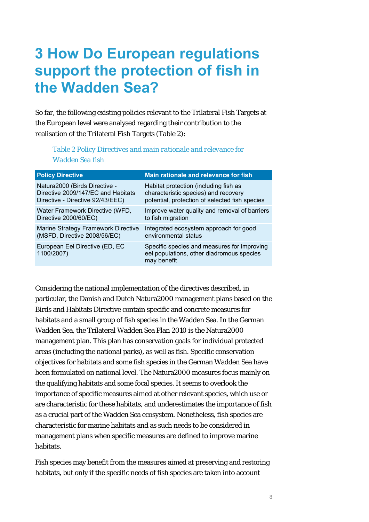### **3 How Do European regulations support the protection of fish in the Wadden Sea?**

So far, the following existing policies relevant to the Trilateral Fish Targets at the European level were analysed regarding their contribution to the realisation of the Trilateral Fish Targets (Table 2):

#### *Table 2 Policy Directives and main rationale and relevance for Wadden Sea fish*

| <b>Policy Directive</b>                      | Main rationale and relevance for fish                                                                   |
|----------------------------------------------|---------------------------------------------------------------------------------------------------------|
| Natura2000 (Birds Directive -                | Habitat protection (including fish as                                                                   |
| Directive 2009/147/EC and Habitats           | characteristic species) and recovery                                                                    |
| Directive - Directive 92/43/EEC)             | potential, protection of selected fish species                                                          |
| Water Framework Directive (WFD,              | Improve water quality and removal of barriers                                                           |
| Directive 2000/60/EC)                        | to fish migration                                                                                       |
| Marine Strategy Framework Directive          | Integrated ecosystem approach for good                                                                  |
| (MSFD, Directive 2008/56/EC)                 | environmental status                                                                                    |
| European Eel Directive (ED, EC<br>1100/2007) | Specific species and measures for improving<br>eel populations, other diadromous species<br>may benefit |

Considering the national implementation of the directives described, in particular, the Danish and Dutch Natura2000 management plans based on the Birds and Habitats Directive contain specific and concrete measures for habitats and a small group of fish species in the Wadden Sea. In the German Wadden Sea, the Trilateral Wadden Sea Plan 2010 is the Natura2000 management plan. This plan has conservation goals for individual protected areas (including the national parks), as well as fish. Specific conservation objectives for habitats and some fish species in the German Wadden Sea have been formulated on national level. The Natura2000 measures focus mainly on the qualifying habitats and some focal species. It seems to overlook the importance of specific measures aimed at other relevant species, which use or are characteristic for these habitats, and underestimates the importance of fish as a crucial part of the Wadden Sea ecosystem. Nonetheless, fish species are characteristic for marine habitats and as such needs to be considered in management plans when specific measures are defined to improve marine habitats.

Fish species may benefit from the measures aimed at preserving and restoring habitats, but only if the specific needs of fish species are taken into account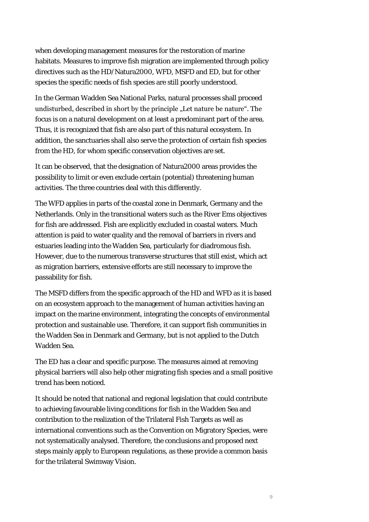when developing management measures for the restoration of marine habitats. Measures to improve fish migration are implemented through policy directives such as the HD/Natura2000, WFD, MSFD and ED, but for other species the specific needs of fish species are still poorly understood.

In the German Wadden Sea National Parks, natural processes shall proceed undisturbed, described in short by the principle "Let nature be nature". The focus is on a natural development on at least a predominant part of the area. Thus, it is recognized that fish are also part of this natural ecosystem. In addition, the sanctuaries shall also serve the protection of certain fish species from the HD, for whom specific conservation objectives are set.

It can be observed, that the designation of Natura2000 areas provides the possibility to limit or even exclude certain (potential) threatening human activities. The three countries deal with this differently.

The WFD applies in parts of the coastal zone in Denmark, Germany and the Netherlands. Only in the transitional waters such as the River Ems objectives for fish are addressed. Fish are explicitly excluded in coastal waters. Much attention is paid to water quality and the removal of barriers in rivers and estuaries leading into the Wadden Sea, particularly for diadromous fish. However, due to the numerous transverse structures that still exist, which act as migration barriers, extensive efforts are still necessary to improve the passability for fish.

The MSFD differs from the specific approach of the HD and WFD as it is based on an ecosystem approach to the management of human activities having an impact on the marine environment, integrating the concepts of environmental protection and sustainable use. Therefore, it can support fish communities in the Wadden Sea in Denmark and Germany, but is not applied to the Dutch Wadden Sea.

The ED has a clear and specific purpose. The measures aimed at removing physical barriers will also help other migrating fish species and a small positive trend has been noticed.

It should be noted that national and regional legislation that could contribute to achieving favourable living conditions for fish in the Wadden Sea and contribution to the realization of the Trilateral Fish Targets as well as international conventions such as the Convention on Migratory Species, were not systematically analysed. Therefore, the conclusions and proposed next steps mainly apply to European regulations, as these provide a common basis for the trilateral Swimway Vision.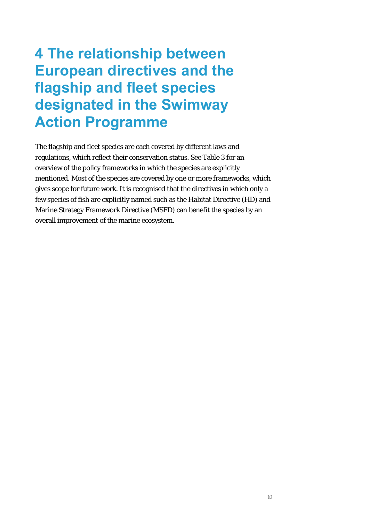### **4 The relationship between European directives and the flagship and fleet species designated in the Swimway Action Programme**

The flagship and fleet species are each covered by different laws and regulations, which reflect their conservation status. See Table 3 for an overview of the policy frameworks in which the species are explicitly mentioned. Most of the species are covered by one or more frameworks, which gives scope for future work. It is recognised that the directives in which only a few species of fish are explicitly named such as the Habitat Directive (HD) and Marine Strategy Framework Directive (MSFD) can benefit the species by an overall improvement of the marine ecosystem.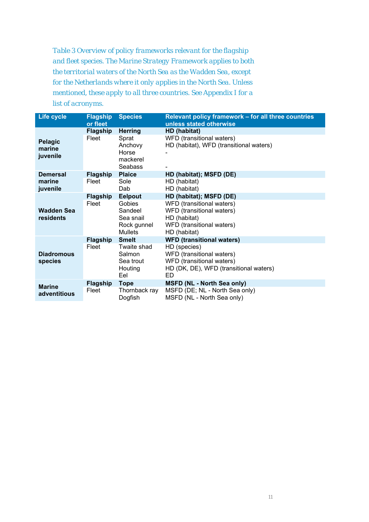*Table 3 Overview of policy frameworks relevant for the flagship and fleet species. The Marine Strategy Framework applies to both the territorial waters of the North Sea as the Wadden Sea, except for the Netherlands where it only applies in the North Sea. Unless mentioned, these apply to all three countries. See Appendix I for a list of acronyms.*

| <b>Life cycle</b>                     | <b>Flagship</b><br>or fleet | <b>Species</b>                                                             | Relevant policy framework - for all three countries<br>unless stated otherwise                                                                             |
|---------------------------------------|-----------------------------|----------------------------------------------------------------------------|------------------------------------------------------------------------------------------------------------------------------------------------------------|
| Pelagic<br>marine<br>juvenile         | <b>Flagship</b><br>Fleet    | <b>Herring</b><br>Sprat<br>Anchovy<br>Horse<br>mackerel                    | HD (habitat)<br>WFD (transitional waters)<br>HD (habitat), WFD (transitional waters)                                                                       |
| <b>Demersal</b><br>marine<br>juvenile | <b>Flagship</b><br>Fleet    | Seabass<br><b>Plaice</b><br>Sole<br>Dab                                    | HD (habitat); MSFD (DE)<br>HD (habitat)<br>HD (habitat)                                                                                                    |
| <b>Wadden Sea</b><br>residents        | <b>Flagship</b><br>Fleet    | Eelpout<br>Gobies<br>Sandeel<br>Sea snail<br>Rock gunnel<br><b>Mullets</b> | HD (habitat); MSFD (DE)<br>WFD (transitional waters)<br>WFD (transitional waters)<br>HD (habitat)<br>WFD (transitional waters)<br>HD (habitat)             |
| <b>Diadromous</b><br>species          | <b>Flagship</b><br>Fleet    | <b>Smelt</b><br>Twaite shad<br>Salmon<br>Sea trout<br>Houting<br>Eel       | <b>WFD (transitional waters)</b><br>HD (species)<br>WFD (transitional waters)<br>WFD (transitional waters)<br>HD (DK, DE), WFD (transitional waters)<br>ED |
| <b>Marine</b><br>adventitious         | Flagship<br>Fleet           | <b>Tope</b><br>Thornback ray<br>Dogfish                                    | <b>MSFD (NL - North Sea only)</b><br>MSFD (DE; NL - North Sea only)<br>MSFD (NL - North Sea only)                                                          |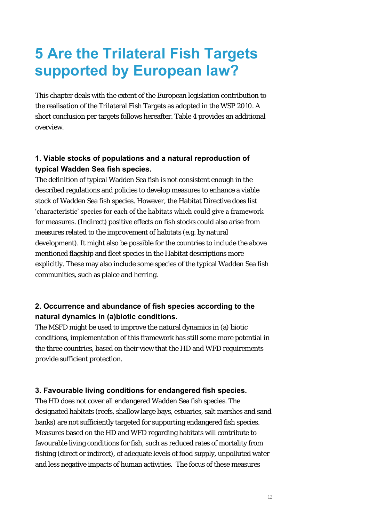### **5 Are the Trilateral Fish Targets supported by European law?**

This chapter deals with the extent of the European legislation contribution to the realisation of the Trilateral Fish Targets as adopted in the WSP 2010. A short conclusion per targets follows hereafter. Table 4 provides an additional overview.

#### **1. Viable stocks of populations and a natural reproduction of typical Wadden Sea fish species.**

The definition of typical Wadden Sea fish is not consistent enough in the described regulations and policies to develop measures to enhance a viable stock of Wadden Sea fish species. However, the Habitat Directive does list 'characteristic' species for each of the habitats which could give a framework for measures. (Indirect) positive effects on fish stocks could also arise from measures related to the improvement of habitats (e.g. by natural development). It might also be possible for the countries to include the above mentioned flagship and fleet species in the Habitat descriptions more explicitly. These may also include some species of the typical Wadden Sea fish communities, such as plaice and herring.

#### **2. Occurrence and abundance of fish species according to the natural dynamics in (a)biotic conditions.**

The MSFD might be used to improve the natural dynamics in (a) biotic conditions, implementation of this framework has still some more potential in the three countries, based on their view that the HD and WFD requirements provide sufficient protection.

#### **3. Favourable living conditions for endangered fish species.**

The HD does not cover all endangered Wadden Sea fish species. The designated habitats (reefs, shallow large bays, estuaries, salt marshes and sand banks) are not sufficiently targeted for supporting endangered fish species. Measures based on the HD and WFD regarding habitats will contribute to favourable living conditions for fish, such as reduced rates of mortality from fishing (direct or indirect), of adequate levels of food supply, unpolluted water and less negative impacts of human activities. The focus of these measures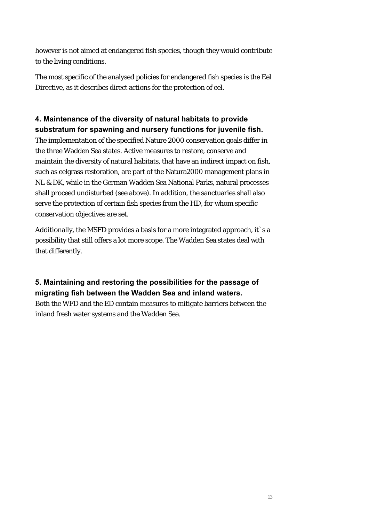however is not aimed at endangered fish species, though they would contribute to the living conditions.

The most specific of the analysed policies for endangered fish species is the Eel Directive, as it describes direct actions for the protection of eel.

#### **4. Maintenance of the diversity of natural habitats to provide substratum for spawning and nursery functions for juvenile fish.**

The implementation of the specified Nature 2000 conservation goals differ in the three Wadden Sea states. Active measures to restore, conserve and maintain the diversity of natural habitats, that have an indirect impact on fish, such as eelgrass restoration, are part of the Natura2000 management plans in NL & DK, while in the German Wadden Sea National Parks, natural processes shall proceed undisturbed (see above). In addition, the sanctuaries shall also serve the protection of certain fish species from the HD, for whom specific conservation objectives are set.

Additionally, the MSFD provides a basis for a more integrated approach, it's a possibility that still offers a lot more scope. The Wadden Sea states deal with that differently.

#### **5. Maintaining and restoring the possibilities for the passage of migrating fish between the Wadden Sea and inland waters.**

Both the WFD and the ED contain measures to mitigate barriers between the inland fresh water systems and the Wadden Sea.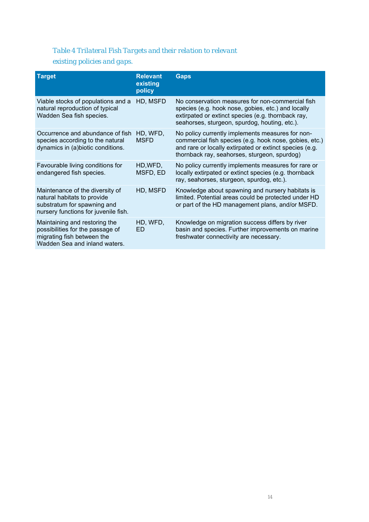#### *Table 4 Trilateral Fish Targets and their relation to relevant*

#### *existing policies and gaps.*

| <b>Target</b>                                                                                                                         | <b>Relevant</b><br>existing<br>policy | <b>Gaps</b>                                                                                                                                                                                                           |
|---------------------------------------------------------------------------------------------------------------------------------------|---------------------------------------|-----------------------------------------------------------------------------------------------------------------------------------------------------------------------------------------------------------------------|
| Viable stocks of populations and a<br>natural reproduction of typical<br>Wadden Sea fish species.                                     | HD, MSFD                              | No conservation measures for non-commercial fish<br>species (e.g. hook nose, gobies, etc.) and locally<br>extirpated or extinct species (e.g. thornback ray,<br>seahorses, sturgeon, spurdog, houting, etc.).         |
| Occurrence and abundance of fish<br>species according to the natural<br>dynamics in (a)biotic conditions.                             | HD, WFD,<br><b>MSFD</b>               | No policy currently implements measures for non-<br>commercial fish species (e.g. hook nose, gobies, etc.)<br>and rare or locally extirpated or extinct species (e.g.<br>thornback ray, seahorses, sturgeon, spurdog) |
| Favourable living conditions for<br>endangered fish species.                                                                          | HD, WFD,<br>MSFD, ED                  | No policy currently implements measures for rare or<br>locally extirpated or extinct species (e.g. thornback<br>ray, seahorses, sturgeon, spurdog, etc.).                                                             |
| Maintenance of the diversity of<br>natural habitats to provide<br>substratum for spawning and<br>nursery functions for juvenile fish. | HD, MSFD                              | Knowledge about spawning and nursery habitats is<br>limited. Potential areas could be protected under HD<br>or part of the HD management plans, and/or MSFD.                                                          |
| Maintaining and restoring the<br>possibilities for the passage of<br>migrating fish between the<br>Wadden Sea and inland waters.      | HD, WFD,<br><b>ED</b>                 | Knowledge on migration success differs by river<br>basin and species. Further improvements on marine<br>freshwater connectivity are necessary.                                                                        |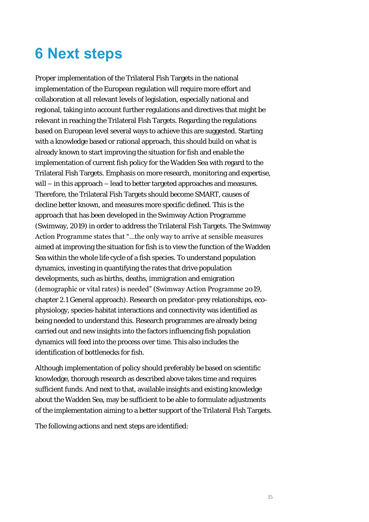## **6 Next steps**

Proper implementation of the Trilateral Fish Targets in the national implementation of the European regulation will require more effort and collaboration at all relevant levels of legislation, especially national and regional, taking into account further regulations and directives that might be relevant in reaching the Trilateral Fish Targets. Regarding the regulations based on European level several ways to achieve this are suggested. Starting with a knowledge based or rational approach, this should build on what is already known to start improving the situation for fish and enable the implementation of current fish policy for the Wadden Sea with regard to the Trilateral Fish Targets. Emphasis on more research, monitoring and expertise, will – in this approach – lead to better targeted approaches and measures. Therefore, the Trilateral Fish Targets should become SMART, causes of decline better known, and measures more specific defined. This is the approach that has been developed in the Swimway Action Programme (Swimway, 2019) in order to address the Trilateral Fish Targets. The Swimway Action Programme states that "…the only way to arrive at sensible measures aimed at improving the situation for fish is to view the function of the Wadden Sea within the whole life cycle of a fish species. To understand population dynamics, investing in quantifying the rates that drive population developments, such as births, deaths, immigration and emigration (demographic or vital rates) is needed" (Swimway Action Programme 2019, chapter 2.1 General approach). Research on predator-prey relationships, ecophysiology, species-habitat interactions and connectivity was identified as being needed to understand this. Research programmes are already being carried out and new insights into the factors influencing fish population dynamics will feed into the process over time. This also includes the identification of bottlenecks for fish.

Although implementation of policy should preferably be based on scientific knowledge, thorough research as described above takes time and requires sufficient funds. And next to that, available insights and existing knowledge about the Wadden Sea, may be sufficient to be able to formulate adjustments of the implementation aiming to a better support of the Trilateral Fish Targets.

The following actions and next steps are identified: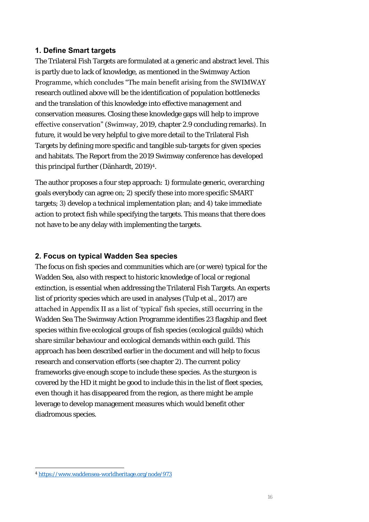#### **1. Define Smart targets**

The Trilateral Fish Targets are formulated at a generic and abstract level. This is partly due to lack of knowledge, as mentioned in the Swimway Action Programme, which concludes "The main benefit arising from the SWIMWAY research outlined above will be the identification of population bottlenecks and the translation of this knowledge into effective management and conservation measures. Closing these knowledge gaps will help to improve effective conservation" (Swimway, 2019, chapter 2.9 concluding remarks). In future, it would be very helpful to give more detail to the Trilateral Fish Targets by defining more specific and tangible sub-targets for given species and habitats. The Report from the 2019 Swimway conference has developed this principal further (Dänhardt, 2019)<sup>4</sup> .

The author proposes a four step approach: 1) formulate generic, overarching goals everybody can agree on; 2) specify these into more specific SMART targets; 3) develop a technical implementation plan; and 4) take immediate action to protect fish while specifying the targets. This means that there does not have to be any delay with implementing the targets.

#### **2. Focus on typical Wadden Sea species**

The focus on fish species and communities which are (or were) typical for the Wadden Sea, also with respect to historic knowledge of local or regional extinction, is essential when addressing the Trilateral Fish Targets. An experts list of priority species which are used in analyses (Tulp et al., 2017) are attached in Appendix II as a list of 'typical' fish species, still occurring in the Wadden Sea The Swimway Action Programme identifies 23 flagship and fleet species within five ecological groups of fish species (ecological guilds) which share similar behaviour and ecological demands within each guild. This approach has been described earlier in the document and will help to focus research and conservation efforts (see chapter 2). The current policy frameworks give enough scope to include these species. As the sturgeon is covered by the HD it might be good to include this in the list of fleet species, even though it has disappeared from the region, as there might be ample leverage to develop management measures which would benefit other diadromous species.

<sup>4</sup> <https://www.waddensea-worldheritage.org/node/973>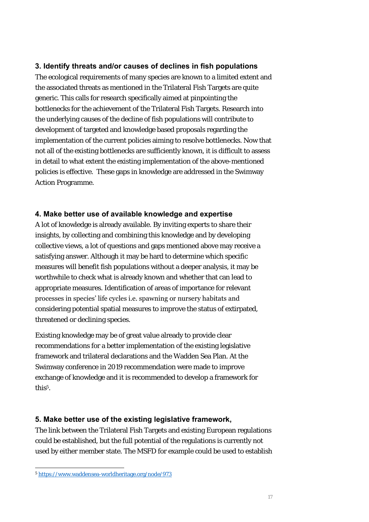#### **3. Identify threats and/or causes of declines in fish populations**

The ecological requirements of many species are known to a limited extent and the associated threats as mentioned in the Trilateral Fish Targets are quite generic. This calls for research specifically aimed at pinpointing the bottlenecks for the achievement of the Trilateral Fish Targets. Research into the underlying causes of the decline of fish populations will contribute to development of targeted and knowledge based proposals regarding the implementation of the current policies aiming to resolve bottlenecks. Now that not all of the existing bottlenecks are sufficiently known, it is difficult to assess in detail to what extent the existing implementation of the above-mentioned policies is effective. These gaps in knowledge are addressed in the Swimway Action Programme.

#### **4. Make better use of available knowledge and expertise**

A lot of knowledge is already available. By inviting experts to share their insights, by collecting and combining this knowledge and by developing collective views, a lot of questions and gaps mentioned above may receive a satisfying answer. Although it may be hard to determine which specific measures will benefit fish populations without a deeper analysis, it may be worthwhile to check what is already known and whether that can lead to appropriate measures. Identification of areas of importance for relevant processes in species' life cycles i.e. spawning or nursery habitats and considering potential spatial measures to improve the status of extirpated, threatened or declining species.

Existing knowledge may be of great value already to provide clear recommendations for a better implementation of the existing legislative framework and trilateral declarations and the Wadden Sea Plan. At the Swimway conference in 2019 recommendation were made to improve exchange of knowledge and it is recommended to develop a framework for this<sup>5</sup> .

#### **5. Make better use of the existing legislative framework,**

The link between the Trilateral Fish Targets and existing European regulations could be established, but the full potential of the regulations is currently not used by either member state. The MSFD for example could be used to establish

<sup>5</sup> <https://www.waddensea-worldheritage.org/node/973>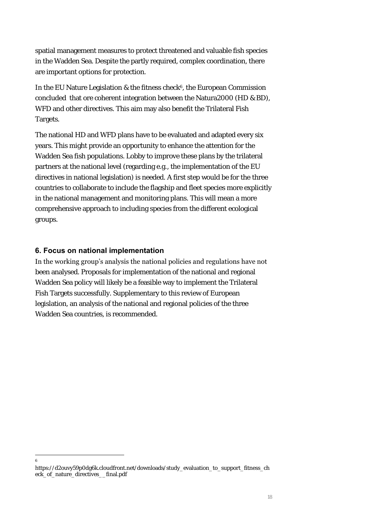spatial management measures to protect threatened and valuable fish species in the Wadden Sea. Despite the partly required, complex coordination, there are important options for protection.

In the EU Nature Legislation & the fitness check<sup>6</sup>, the European Commission concluded that ore coherent integration between the Natura2000 (HD & BD), WFD and other directives. This aim may also benefit the Trilateral Fish Targets.

The national HD and WFD plans have to be evaluated and adapted every six years. This might provide an opportunity to enhance the attention for the Wadden Sea fish populations. Lobby to improve these plans by the trilateral partners at the national level (regarding e.g., the implementation of the EU directives in national legislation) is needed. A first step would be for the three countries to collaborate to include the flagship and fleet species more explicitly in the national management and monitoring plans. This will mean a more comprehensive approach to including species from the different ecological groups.

#### **6. Focus on national implementation**

6

In the working group's analysis the national policies and regulations have not been analysed. Proposals for implementation of the national and regional Wadden Sea policy will likely be a feasible way to implement the Trilateral Fish Targets successfully. Supplementary to this review of European legislation, an analysis of the national and regional policies of the three Wadden Sea countries, is recommended.

https://d2ouvy59p0dg6k.cloudfront.net/downloads/study\_evaluation\_to\_support\_fitness\_ch eck\_of\_nature\_directives\_\_final.pdf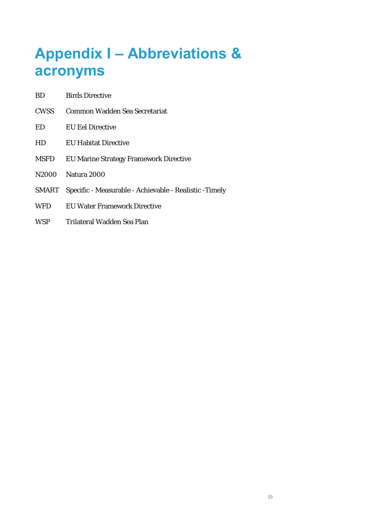## **Appendix I – Abbreviations & acronyms**

- BD Birds Directive
- CWSS Common Wadden Sea Secretariat
- ED EU Eel Directive
- HD EU Habitat Directive
- MSFD EU Marine Strategy Framework Directive
- N2000 Natura 2000
- SMART Specific Measurable Achievable Realistic -Timely
- WFD **EU Water Framework Directive**
- WSP Trilateral Wadden Sea Plan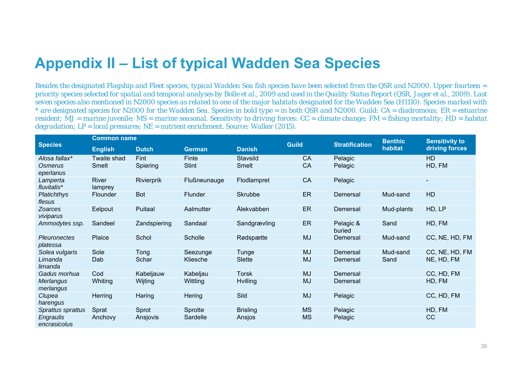### **Appendix II – List of typical Wadden Sea Species**

*Besides the designated Flagship and Fleet species, typical Wadden Sea fish species have been selected from the QSR and N2000. Upper fourteen = priority species selected for spatial and temporal analyses by Bolle et al., 2009 and used in the Quality Status Report (QSR, Jager et al., 2009). Last seven species also mentioned in N2000 species as related to one of the major habitats designated for the Wadden Sea (H1110). Species marked with \* are designated species for N2000 for the Wadden Sea. Species in bold type = in both QSR and N2000. Guild: CA = diadromous; ER = estuarine resident; MJ = marine juvenile; MS = marine seasonal. Sensitivity to driving forces: CC = climate change; FM = fishing mortality; HD = habitat degradation; LP = local pressures; NE = nutrient enrichment. Source: Walker (2015).*

| <b>Species</b>                  | <b>Common name</b> |              |                |                 | <b>Guild</b> | <b>Stratification</b> | <b>Benthic</b><br>habitat | <b>Sensitivity to</b> |
|---------------------------------|--------------------|--------------|----------------|-----------------|--------------|-----------------------|---------------------------|-----------------------|
|                                 | <b>English</b>     | <b>Dutch</b> | <b>German</b>  | <b>Danish</b>   |              |                       |                           | driving forces        |
| Alosa fallax*                   | Twaite shad        | Fint         | Finte          | Stavsild        | <b>CA</b>    | Pelagic               |                           | <b>HD</b>             |
| Osmerus<br>eperlanus            | Smelt              | Spiering     | <b>Stint</b>   | Smelt           | CA           | Pelagic               |                           | HD, FM                |
| Lamperta<br>fluvitalis*         | River<br>lamprey   | Rivierprik   | Flußneunauge   | Flodlampret     | CA           | Pelagic               |                           | ٠                     |
| <b>Platichthys</b><br>flesus    | Flounder           | <b>Bot</b>   | <b>Flunder</b> | <b>Skrubbe</b>  | <b>ER</b>    | Demersal              | Mud-sand                  | <b>HD</b>             |
| <b>Zoarces</b><br>viviparus     | Eelpout            | Puitaal      | Aalmutter      | Ålekvabben      | ER           | Demersal              | Mud-plants                | HD, LP                |
| Ammodytes ssp.                  | Sandeel            | Zandspiering | Sandaal        | Sandgrævling    | ER           | Pelagic &<br>buried   | Sand                      | HD, FM                |
| <b>Pleuronectes</b><br>platessa | Plaice             | Schol        | Scholle        | Rødspætte       | <b>MJ</b>    | Demersal              | Mud-sand                  | CC, NE, HD, FM        |
| Solea vulgaris                  | Sole               | Tong         | Seezunge       | Tunge           | <b>MJ</b>    | Demersal              | Mud-sand                  | CC, NE, HD, FM        |
| Limanda<br>limanda              | Dab                | Schar        | Kliesche       | Slette          | <b>MJ</b>    | Demersal              | Sand                      | NE, HD, FM            |
| Gadus morhua                    | Cod                | Kabeljauw    | Kabeljau       | <b>Torsk</b>    | <b>MJ</b>    | Demersal              |                           | CC, HD, FM            |
| Merlangus<br>merlangus          | Whiting            | Wijting      | Wittling       | <b>Hvilling</b> | <b>MJ</b>    | Demersal              |                           | HD, FM                |
| Clupea<br>harengus              | Herring            | Haring       | Hering         | Sild            | <b>MJ</b>    | Pelagic               |                           | CC, HD, FM            |
| Sprattus sprattus               | Sprat              | Sprot        | Sprotte        | <b>Brisling</b> | <b>MS</b>    | Pelagic               |                           | HD, FM                |
| Engraulis<br>encrasicolus       | Anchovy            | Ansjovis     | Sardelle       | Ansjos          | <b>MS</b>    | Pelagic               |                           | cc                    |